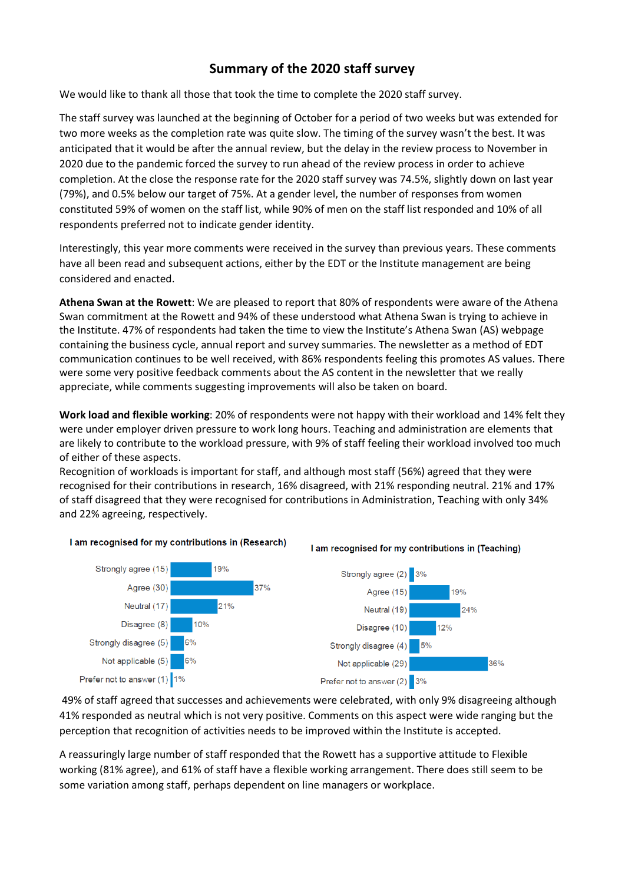# **Summary of the 2020 staff survey**

We would like to thank all those that took the time to complete the 2020 staff survey.

The staff survey was launched at the beginning of October for a period of two weeks but was extended for two more weeks as the completion rate was quite slow. The timing of the survey wasn't the best. It was anticipated that it would be after the annual review, but the delay in the review process to November in 2020 due to the pandemic forced the survey to run ahead of the review process in order to achieve completion. At the close the response rate for the 2020 staff survey was 74.5%, slightly down on last year (79%), and 0.5% below our target of 75%. At a gender level, the number of responses from women constituted 59% of women on the staff list, while 90% of men on the staff list responded and 10% of all respondents preferred not to indicate gender identity.

Interestingly, this year more comments were received in the survey than previous years. These comments have all been read and subsequent actions, either by the EDT or the Institute management are being considered and enacted.

**Athena Swan at the Rowett**: We are pleased to report that 80% of respondents were aware of the Athena Swan commitment at the Rowett and 94% of these understood what Athena Swan is trying to achieve in the Institute. 47% of respondents had taken the time to view the Institute's Athena Swan (AS) webpage containing the business cycle, annual report and survey summaries. The newsletter as a method of EDT communication continues to be well received, with 86% respondents feeling this promotes AS values. There were some very positive feedback comments about the AS content in the newsletter that we really appreciate, while comments suggesting improvements will also be taken on board.

**Work load and flexible working**: 20% of respondents were not happy with their workload and 14% felt they were under employer driven pressure to work long hours. Teaching and administration are elements that are likely to contribute to the workload pressure, with 9% of staff feeling their workload involved too much of either of these aspects.

Recognition of workloads is important for staff, and although most staff (56%) agreed that they were recognised for their contributions in research, 16% disagreed, with 21% responding neutral. 21% and 17% of staff disagreed that they were recognised for contributions in Administration, Teaching with only 34% and 22% agreeing, respectively.









Prefer not to answer (1) 1%<br>49% of staff agreed that successes and achievements were celebrated, with only 9% disagreeing although 41% responded as neutral which is not very positive. Comments on this aspect were wide ranging but the perception that recognition of activities needs to be improved within the Institute is accepted.

A reassuringly large number of staff responded that the Rowett has a supportive attitude to Flexible working (81% agree), and 61% of staff have a flexible working arrangement. There does still seem to be some variation among staff, perhaps dependent on line managers or workplace.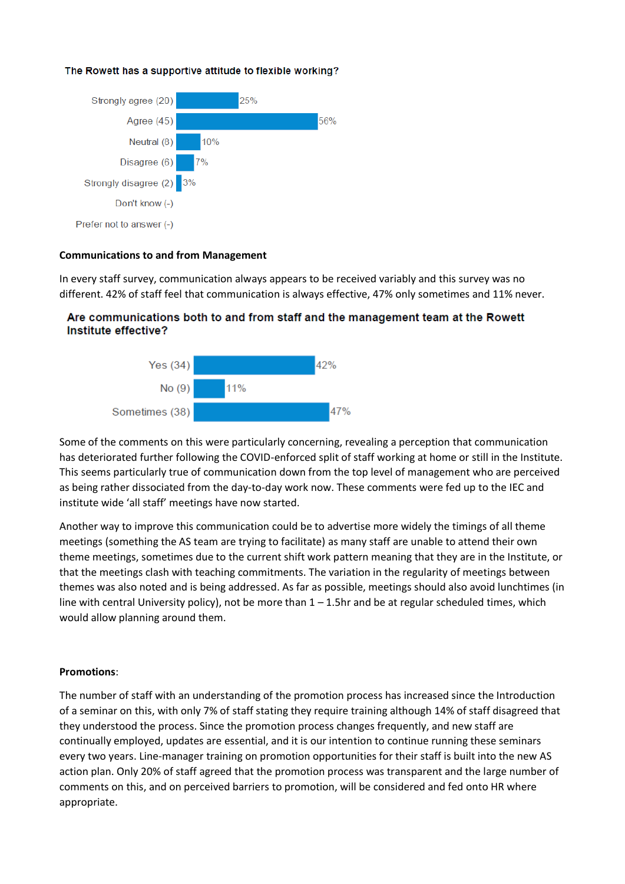## The Rowett has a supportive attitude to flexible working?



### **Communications to and from Management**

In every staff survey, communication always appears to be received variably and this survey was no different. 42% of staff feel that communication is always effective, 47% only sometimes and 11% never.

# Are communications both to and from staff and the management team at the Rowett Institute effective?



Some of the comments on this were particularly concerning, revealing a perception that communication has deteriorated further following the COVID-enforced split of staff working at home or still in the Institute. This seems particularly true of communication down from the top level of management who are perceived as being rather dissociated from the day-to-day work now. These comments were fed up to the IEC and institute wide 'all staff' meetings have now started.

Another way to improve this communication could be to advertise more widely the timings of all theme meetings (something the AS team are trying to facilitate) as many staff are unable to attend their own theme meetings, sometimes due to the current shift work pattern meaning that they are in the Institute, or that the meetings clash with teaching commitments. The variation in the regularity of meetings between themes was also noted and is being addressed. As far as possible, meetings should also avoid lunchtimes (in line with central University policy), not be more than  $1 - 1.5$ hr and be at regular scheduled times, which would allow planning around them.

### **Promotions**:

The number of staff with an understanding of the promotion process has increased since the Introduction of a seminar on this, with only 7% of staff stating they require training although 14% of staff disagreed that they understood the process. Since the promotion process changes frequently, and new staff are continually employed, updates are essential, and it is our intention to continue running these seminars every two years. Line-manager training on promotion opportunities for their staff is built into the new AS action plan. Only 20% of staff agreed that the promotion process was transparent and the large number of comments on this, and on perceived barriers to promotion, will be considered and fed onto HR where appropriate.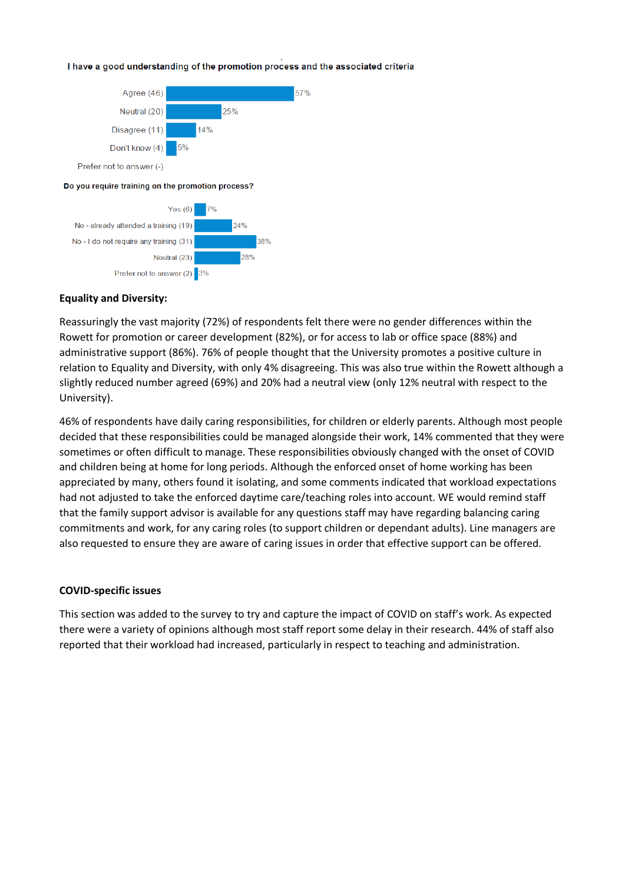#### I have a good understanding of the promotion process and the associated criteria



#### **Equality and Diversity:**

Reassuringly the vast majority (72%) of respondents felt there were no gender differences within the Rowett for promotion or career development (82%), or for access to lab or office space (88%) and administrative support (86%). 76% of people thought that the University promotes a positive culture in relation to Equality and Diversity, with only 4% disagreeing. This was also true within the Rowett although a slightly reduced number agreed (69%) and 20% had a neutral view (only 12% neutral with respect to the University).

46% of respondents have daily caring responsibilities, for children or elderly parents. Although most people decided that these responsibilities could be managed alongside their work, 14% commented that they were sometimes or often difficult to manage. These responsibilities obviously changed with the onset of COVID and children being at home for long periods. Although the enforced onset of home working has been appreciated by many, others found it isolating, and some comments indicated that workload expectations had not adjusted to take the enforced daytime care/teaching roles into account. WE would remind staff that the family support advisor is available for any questions staff may have regarding balancing caring commitments and work, for any caring roles (to support children or dependant adults). Line managers are also requested to ensure they are aware of caring issues in order that effective support can be offered.

#### **COVID-specific issues**

This section was added to the survey to try and capture the impact of COVID on staff's work. As expected there were a variety of opinions although most staff report some delay in their research. 44% of staff also reported that their workload had increased, particularly in respect to teaching and administration.